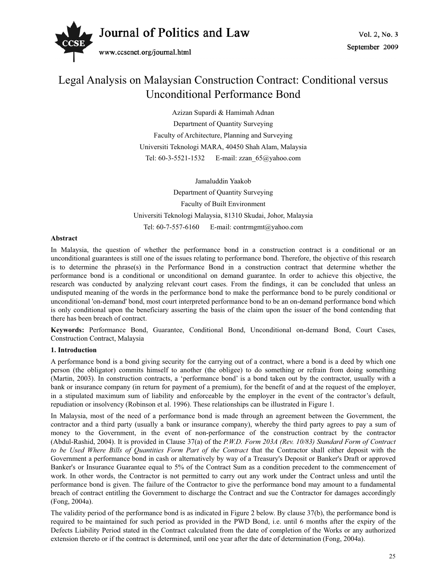

# Legal Analysis on Malaysian Construction Contract: Conditional versus Unconditional Performance Bond

Azizan Supardi & Hamimah Adnan Department of Quantity Surveying Faculty of Architecture, Planning and Surveying Universiti Teknologi MARA, 40450 Shah Alam, Malaysia Tel: 60-3-5521-1532 E-mail: zzan\_65@yahoo.com

Jamaluddin Yaakob Department of Quantity Surveying Faculty of Built Environment Universiti Teknologi Malaysia, 81310 Skudai, Johor, Malaysia Tel: 60-7-557-6160 E-mail: contrmgmt@yahoo.com

#### **Abstract**

In Malaysia, the question of whether the performance bond in a construction contract is a conditional or an unconditional guarantees is still one of the issues relating to performance bond. Therefore, the objective of this research is to determine the phrase(s) in the Performance Bond in a construction contract that determine whether the performance bond is a conditional or unconditional on demand guarantee. In order to achieve this objective, the research was conducted by analyzing relevant court cases. From the findings, it can be concluded that unless an undisputed meaning of the words in the performance bond to make the performance bond to be purely conditional or unconditional 'on-demand' bond, most court interpreted performance bond to be an on-demand performance bond which is only conditional upon the beneficiary asserting the basis of the claim upon the issuer of the bond contending that there has been breach of contract.

**Keywords:** Performance Bond, Guarantee, Conditional Bond, Unconditional on-demand Bond, Court Cases, Construction Contract, Malaysia

#### **1. Introduction**

A performance bond is a bond giving security for the carrying out of a contract, where a bond is a deed by which one person (the obligator) commits himself to another (the obligee) to do something or refrain from doing something (Martin, 2003). In construction contracts, a 'performance bond' is a bond taken out by the contractor, usually with a bank or insurance company (in return for payment of a premium), for the benefit of and at the request of the employer, in a stipulated maximum sum of liability and enforceable by the employer in the event of the contractor's default, repudiation or insolvency (Robinson et al. 1996). These relationships can be illustrated in Figure 1.

In Malaysia, most of the need of a performance bond is made through an agreement between the Government, the contractor and a third party (usually a bank or insurance company), whereby the third party agrees to pay a sum of money to the Government, in the event of non-performance of the construction contract by the contractor (Abdul-Rashid, 2004). It is provided in Clause 37(a) of the *P.W.D. Form 203A (Rev. 10/83) Standard Form of Contract to be Used Where Bills of Quantities Form Part of the Contract* that the Contractor shall either deposit with the Government a performance bond in cash or alternatively by way of a Treasury's Deposit or Banker's Draft or approved Banker's or Insurance Guarantee equal to 5% of the Contract Sum as a condition precedent to the commencement of work. In other words, the Contractor is not permitted to carry out any work under the Contract unless and until the performance bond is given. The failure of the Contractor to give the performance bond may amount to a fundamental breach of contract entitling the Government to discharge the Contract and sue the Contractor for damages accordingly (Fong, 2004a).

The validity period of the performance bond is as indicated in Figure 2 below. By clause 37(b), the performance bond is required to be maintained for such period as provided in the PWD Bond, i.e. until 6 months after the expiry of the Defects Liability Period stated in the Contract calculated from the date of completion of the Works or any authorized extension thereto or if the contract is determined, until one year after the date of determination (Fong, 2004a).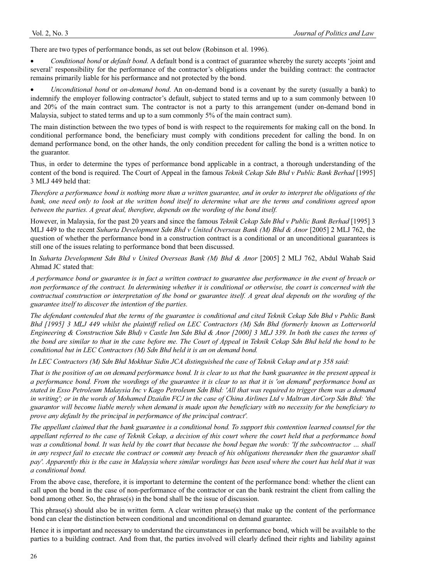There are two types of performance bonds, as set out below (Robinson et al. 1996).

x *Conditional bond* or *default bond*. A default bond is a contract of guarantee whereby the surety accepts 'joint and several' responsibility for the performance of the contractor's obligations under the building contract: the contractor remains primarily liable for his performance and not protected by the bond.

x *Unconditional bond* or *on-demand bond*. An on-demand bond is a covenant by the surety (usually a bank) to indemnify the employer following contractor's default, subject to stated terms and up to a sum commonly between 10 and 20% of the main contract sum. The contractor is not a party to this arrangement (under on-demand bond in Malaysia, subject to stated terms and up to a sum commonly 5% of the main contract sum).

The main distinction between the two types of bond is with respect to the requirements for making call on the bond. In conditional performance bond, the beneficiary must comply with conditions precedent for calling the bond. In on demand performance bond, on the other hands, the only condition precedent for calling the bond is a written notice to the guarantor.

Thus, in order to determine the types of performance bond applicable in a contract, a thorough understanding of the content of the bond is required. The Court of Appeal in the famous *Teknik Cekap Sdn Bhd v Public Bank Berhad* [1995] 3 MLJ 449 held that:

*Therefore a performance bond is nothing more than a written guarantee, and in order to interpret the obligations of the bank, one need only to look at the written bond itself to determine what are the terms and conditions agreed upon between the parties. A great deal, therefore, depends on the wording of the bond itself.* 

However, in Malaysia, for the past 20 years and since the famous *Teknik Cekap Sdn Bhd v Public Bank Berhad* [1995] 3 MLJ 449 to the recent *Suharta Development Sdn Bhd v United Overseas Bank (M) Bhd & Anor* [2005] 2 MLJ 762, the question of whether the performance bond in a construction contract is a conditional or an unconditional guarantees is still one of the issues relating to performance bond that been discussed.

In *Suharta Development Sdn Bhd v United Overseas Bank (M) Bhd & Anor* [2005] 2 MLJ 762, Abdul Wahab Said Ahmad JC stated that:

*A performance bond or guarantee is in fact a written contract to guarantee due performance in the event of breach or non performance of the contract. In determining whether it is conditional or otherwise, the court is concerned with the contractual construction or interpretation of the bond or guarantee itself. A great deal depends on the wording of the guarantee itself to discover the intention of the parties.* 

*The defendant contended that the terms of the guarantee is conditional and cited Teknik Cekap Sdn Bhd v Public Bank Bhd [1995] 3 MLJ 449 whilst the plaintiff relied on LEC Contractors (M) Sdn Bhd (formerly known as Lotterworld Engineering & Construction Sdn Bhd) v Castle Inn Sdn Bhd & Anor [2000] 3 MLJ 339. In both the cases the terms of the bond are similar to that in the case before me. The Court of Appeal in Teknik Cekap Sdn Bhd held the bond to be conditional but in LEC Contractors (M) Sdn Bhd held it is an on demand bond.* 

*In LEC Contractors (M) Sdn Bhd Mokhtar Sidin JCA distinguished the case of Teknik Cekap and at p 358 said:* 

*That is the position of an on demand performance bond. It is clear to us that the bank guarantee in the present appeal is a performance bond. From the wordings of the guarantee it is clear to us that it is 'on demand' performance bond as stated in Esso Petroleum Malaysia Inc v Kago Petroleum Sdn Bhd: 'All that was required to trigger them was a demand in writing'; or in the words of Mohamed Dzaidin FCJ in the case of China Airlines Ltd v Maltran AirCorp Sdn Bhd: 'the guarantor will become liable merely when demand is made upon the beneficiary with no necessity for the beneficiary to prove any default by the principal in performance of the principal contract'.* 

*The appellant claimed that the bank guarantee is a conditional bond. To support this contention learned counsel for the appellant referred to the case of Teknik Cekap, a decision of this court where the court held that a performance bond was a conditional bond. It was held by the court that because the bond began the words: 'If the subcontractor … shall in any respect fail to execute the contract or commit any breach of his obligations thereunder then the guarantor shall pay'. Apparently this is the case in Malaysia where similar wordings has been used where the court has held that it was a conditional bond.* 

From the above case, therefore, it is important to determine the content of the performance bond: whether the client can call upon the bond in the case of non-performance of the contractor or can the bank restraint the client from calling the bond among other. So, the phrase(s) in the bond shall be the issue of discussion.

This phrase(s) should also be in written form. A clear written phrase(s) that make up the content of the performance bond can clear the distinction between conditional and unconditional on demand guarantee.

Hence it is important and necessary to understand the circumstances in performance bond, which will be available to the parties to a building contract. And from that, the parties involved will clearly defined their rights and liability against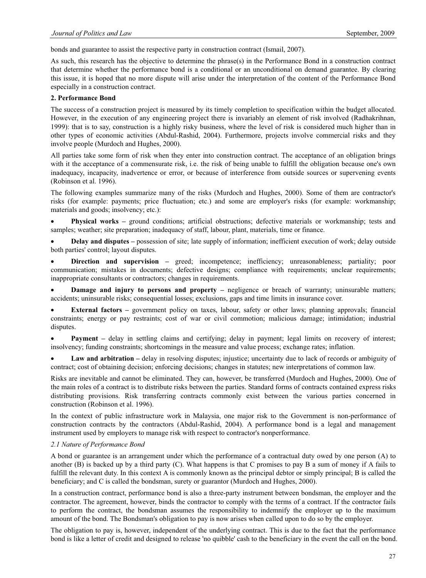bonds and guarantee to assist the respective party in construction contract (Ismail, 2007).

As such, this research has the objective to determine the phrase(s) in the Performance Bond in a construction contract that determine whether the performance bond is a conditional or an unconditional on demand guarantee. By clearing this issue, it is hoped that no more dispute will arise under the interpretation of the content of the Performance Bond especially in a construction contract.

#### **2. Performance Bond**

The success of a construction project is measured by its timely completion to specification within the budget allocated. However, in the execution of any engineering project there is invariably an element of risk involved (Radhakrihnan, 1999): that is to say, construction is a highly risky business, where the level of risk is considered much higher than in other types of economic activities (Abdul-Rashid, 2004). Furthermore, projects involve commercial risks and they involve people (Murdoch and Hughes, 2000).

All parties take some form of risk when they enter into construction contract. The acceptance of an obligation brings with it the acceptance of a commensurate risk, i.e. the risk of being unable to fulfill the obligation because one's own inadequacy, incapacity, inadvertence or error, or because of interference from outside sources or supervening events (Robinson et al. 1996).

The following examples summarize many of the risks (Murdoch and Hughes, 2000). Some of them are contractor's risks (for example: payments; price fluctuation; etc.) and some are employer's risks (for example: workmanship; materials and goods; insolvency; etc.):

**Physical works –** ground conditions; artificial obstructions; defective materials or workmanship; tests and samples; weather; site preparation; inadequacy of staff, labour, plant, materials, time or finance.

**Delay and disputes** – possession of site; late supply of information; inefficient execution of work; delay outside both parties' control; layout disputes.

**Direction and supervision** – greed; incompetence; inefficiency; unreasonableness; partiality; poor communication; mistakes in documents; defective designs; compliance with requirements; unclear requirements; inappropriate consultants or contractors; changes in requirements.

**Damage and injury to persons and property –** negligence or breach of warranty; uninsurable matters; accidents; uninsurable risks; consequential losses; exclusions, gaps and time limits in insurance cover.

**External factors –** government policy on taxes, labour, safety or other laws; planning approvals; financial constraints; energy or pay restraints; cost of war or civil commotion; malicious damage; intimidation; industrial disputes.

**Payment** – delay in settling claims and certifying; delay in payment; legal limits on recovery of interest; insolvency; funding constraints; shortcomings in the measure and value process; exchange rates; inflation.

Law and arbitration – delay in resolving disputes; injustice; uncertainty due to lack of records or ambiguity of contract; cost of obtaining decision; enforcing decisions; changes in statutes; new interpretations of common law.

Risks are inevitable and cannot be eliminated. They can, however, be transferred (Murdoch and Hughes, 2000). One of the main roles of a contract is to distribute risks between the parties. Standard forms of contracts contained express risks distributing provisions. Risk transferring contracts commonly exist between the various parties concerned in construction (Robinson et al. 1996).

In the context of public infrastructure work in Malaysia, one major risk to the Government is non-performance of construction contracts by the contractors (Abdul-Rashid, 2004). A performance bond is a legal and management instrument used by employers to manage risk with respect to contractor's nonperformance.

#### *2.1 Nature of Performance Bond*

A bond or guarantee is an arrangement under which the performance of a contractual duty owed by one person (A) to another (B) is backed up by a third party (C). What happens is that C promises to pay B a sum of money if A fails to fulfill the relevant duty. In this context A is commonly known as the principal debtor or simply principal; B is called the beneficiary; and C is called the bondsman, surety or guarantor (Murdoch and Hughes, 2000).

In a construction contract, performance bond is also a three-party instrument between bondsman, the employer and the contractor. The agreement, however, binds the contractor to comply with the terms of a contract. If the contractor fails to perform the contract, the bondsman assumes the responsibility to indemnify the employer up to the maximum amount of the bond. The Bondsman's obligation to pay is now arises when called upon to do so by the employer.

The obligation to pay is, however, independent of the underlying contract. This is due to the fact that the performance bond is like a letter of credit and designed to release 'no quibble' cash to the beneficiary in the event the call on the bond.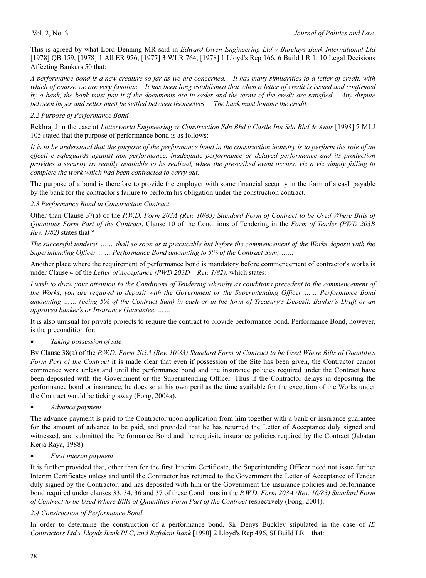This is agreed by what Lord Denning MR said in *Edward Owen Engineering Ltd v Barclays Bank International Ltd*  [1978] QB 159, [1978] 1 All ER 976, [1977] 3 WLR 764, [1978] 1 Lloyd's Rep 166, 6 Build LR 1, 10 Legal Decisions Affecting Bankers 50 that:

*A performance bond is a new creature so far as we are concerned. It has many similarities to a letter of credit, with which of course we are very familiar. It has been long established that when a letter of credit is issued and confirmed by a bank, the bank must pay it if the documents are in order and the terms of the credit are satisfied. Any dispute between buyer and seller must be settled between themselves. The bank must honour the credit.* 

# *2.2 Purpose of Performance Bond*

Rekhraj J in the case of *Lotterworld Engineering & Construction Sdn Bhd v Castle Inn Sdn Bhd & Anor* [1998] 7 MLJ 105 stated that the purpose of performance bond is as follows:

*It is to be understood that the purpose of the performance bond in the construction industry is to perform the role of an effective safeguards against non-performance, inadequate performance or delayed performance and its production provides a security as readily available to be realized, when the prescribed event occurs, viz a viz simply failing to complete the work which had been contracted to carry out.* 

The purpose of a bond is therefore to provide the employer with some financial security in the form of a cash payable by the bank for the contractor's failure to perform his obligation under the construction contract.

# *2.3 Performance Bond in Construction Contract*

Other than Clause 37(a) of the *P.W.D. Form 203A (Rev. 10/83) Standard Form of Contract to be Used Where Bills of Quantities Form Part of the Contract*, Clause 10 of the Conditions of Tendering in the *Form of Tender (PWD 203B Rev. 1/82)* states that "

*The successful tenderer …… shall so soon as it practicable but before the commencement of the Works deposit with the Superintending Officer …… Performance Bond amounting to 5% of the Contract Sum; ……* 

Another place where the requirement of performance bond is mandatory before commencement of contractor's works is under Clause 4 of the *Letter of Acceptance (PWD 203D – Rev. 1/82)*, which states:

*I wish to draw your attention to the Conditions of Tendering whereby as conditions precedent to the commencement of the Works, you are required to deposit with the Government or the Superintending Officer …… Performance Bond amounting …… (being 5% of the Contract Sum) in cash or in the form of Treasury's Deposit, Banker's Draft or an approved banker's or Insurance Guarantee. ……* 

It is also unusual for private projects to require the contract to provide performance bond. Performance Bond, however, is the precondition for:

# x *Taking possession of site*

By Clause 38(a) of the *P.W.D. Form 203A (Rev. 10/83) Standard Form of Contract to be Used Where Bills of Quantities Form Part of the Contract* it is made clear that even if possession of the Site has been given, the Contractor cannot commence work unless and until the performance bond and the insurance policies required under the Contract have been deposited with the Government or the Superintending Officer. Thus if the Contractor delays in depositing the performance bond or insurance, he does so at his own peril as the time available for the execution of the Works under the Contract would be ticking away (Fong, 2004a).

x *Advance payment*

The advance payment is paid to the Contractor upon application from him together with a bank or insurance guarantee for the amount of advance to be paid, and provided that he has returned the Letter of Acceptance duly signed and witnessed, and submitted the Performance Bond and the requisite insurance policies required by the Contract (Jabatan Kerja Raya, 1988).

#### x *First interim payment*

It is further provided that, other than for the first Interim Certificate, the Superintending Officer need not issue further Interim Certificates unless and until the Contractor has returned to the Government the Letter of Acceptance of Tender duly signed by the Contractor, and has deposited with him or the Government the insurance policies and performance bond required under clauses 33, 34, 36 and 37 of these Conditions in the *P.W.D. Form 203A (Rev. 10/83) Standard Form of Contract to be Used Where Bills of Quantities Form Part of the Contract* respectively (Fong, 2004).

# *2.4 Construction of Performance Bond*

In order to determine the construction of a performance bond, Sir Denys Buckley stipulated in the case of *IE Contractors Ltd v Lloyds Bank PLC, and Rafidain Bank* [1990] 2 Lloyd's Rep 496, SI Build LR 1 that: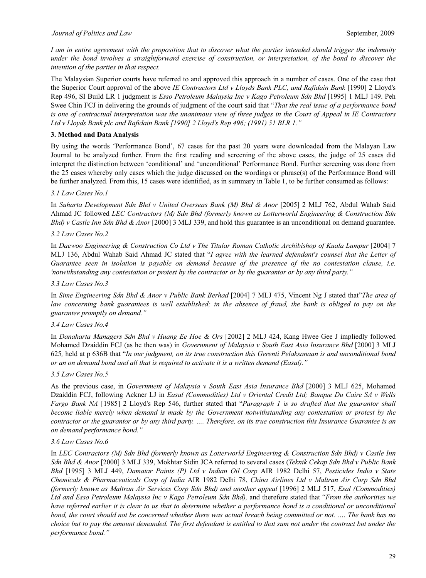*I am in entire agreement with the proposition that to discover what the parties intended should trigger the indemnity under the bond involves a straightforward exercise of construction, or interpretation, of the bond to discover the intention of the parties in that respect.* 

The Malaysian Superior courts have referred to and approved this approach in a number of cases. One of the case that the Superior Court approval of the above *IE Contractors Ltd v Lloyds Bank PLC, and Rafidain Bank* [1990] 2 Lloyd's Rep 496, SI Build LR 1 judgment is *Esso Petroleum Malaysia Inc v Kago Petroleum Sdn Bhd* [1995] 1 MLJ 149. Peh Swee Chin FCJ in delivering the grounds of judgment of the court said that "*That the real issue of a performance bond is one of contractual interpretation was the unanimous view of three judges in the Court of Appeal in IE Contractors Ltd v Lloyds Bank plc and Rafidain Bank [1990] 2 Lloyd's Rep 496; (1991) 51 BLR 1."* 

# **3. Method and Data Analysis**

By using the words 'Performance Bond', 67 cases for the past 20 years were downloaded from the Malayan Law Journal to be analyzed further. From the first reading and screening of the above cases, the judge of 25 cases did interpret the distinction between 'conditional' and 'unconditional' Performance Bond. Further screening was done from the 25 cases whereby only cases which the judge discussed on the wordings or phrase(s) of the Performance Bond will be further analyzed. From this, 15 cases were identified, as in summary in Table 1, to be further consumed as follows:

# *3.1 Law Cases No.1*

In *Suharta Development Sdn Bhd v United Overseas Bank (M) Bhd & Anor* [2005] 2 MLJ 762, Abdul Wahab Said Ahmad JC followed *LEC Contractors (M) Sdn Bhd (formerly known as Lotterworld Engineering & Construction Sdn Bhd) v Castle Inn Sdn Bhd & Anor* [2000] 3 MLJ 339, and hold this guarantee is an unconditional on demand guarantee.

### *3.2 Law Cases No.2*

In *Daewoo Engineering & Construction Co Ltd v The Titular Roman Catholic Archibishop of Kuala Lumpur* [2004] 7 MLJ 136, Abdul Wahab Said Ahmad JC stated that "*I agree with the learned defendant's counsel that the Letter of Guarantee seen in isolation is payable on demand because of the presence of the no contestation clause, i.e. 'notwithstanding any contestation or protest by the contractor or by the guarantor or by any third party."* 

#### *3.3 Law Cases No.3*

In *Sime Engineering Sdn Bhd & Anor v Public Bank Berhad* [2004] 7 MLJ 475, Vincent Ng J stated that"*The area of* law concerning bank guarantees is well established; in the absence of fraud, the bank is obliged to pay on the *guarantee promptly on demand."* 

# *3.4 Law Cases No.4*

In *Danaharta Managers Sdn Bhd v Huang Ee Hoe & Ors* [2002] 2 MLJ 424, Kang Hwee Gee J impliedly followed Mohamed Dzaiddin FCJ (as he then was) in *Government of Malaysia v South East Asia Insurance Bhd* [2000] 3 MLJ 625*,* held at p 636B that "*In our judgment, on its true construction this Gerenti Pelaksanaan is and unconditional bond or an on demand bond and all that is required to activate it is a written demand (Easal)."* 

#### *3.5 Law Cases No.5*

As the previous case, in *Government of Malaysia v South East Asia Insurance Bhd* [2000] 3 MLJ 625, Mohamed Dzaiddin FCJ, following Ackner LJ in *Easal (Commodities) Ltd v Oriental Credit Ltd; Banque Du Caire SA v Wells Fargo Bank NA* [1985] 2 Lloyd's Rep 546, further stated that "*Paragraph 1 is so drafted that the guarantor shall become liable merely when demand is made by the Government notwithstanding any contestation or protest by the contractor or the guarantor or by any third party. …. Therefore, on its true construction this Insurance Guarantee is an on demand performance bond."* 

#### *3.6 Law Cases No.6*

In *LEC Contractors (M) Sdn Bhd (formerly known as Lotterworld Engineering & Construction Sdn Bhd) v Castle Inn Sdn Bhd & Anor* [2000] 3 MLJ 339, Mokhtar Sidin JCA referred to several cases (*Teknik Cekap Sdn Bhd v Public Bank Bhd* [1995] 3 MLJ 449, *Damatar Paints (P) Ltd v Indian Oil Corp* AIR 1982 Delhi 57, *Pesticides India v State Chemicals & Pharmaceuticals Corp of India* AIR 1982 Delhi 78, *China Airlines Ltd v Maltran Air Corp Sdn Bhd (formerly known as Maltran Air Services Corp Sdn Bhd) and another appeal* [1996] 2 MLJ 517, *Esal (Commodities) Ltd and Esso Petroleum Malaysia Inc v Kago Petroleum Sdn Bhd),* and therefore stated that "*From the authorities we have referred earlier it is clear to us that to determine whether a performance bond is a conditional or unconditional bond, the court should not be concerned whether there was actual breach being committed or not. …. The bank has no choice but to pay the amount demanded. The first defendant is entitled to that sum not under the contract but under the performance bond."*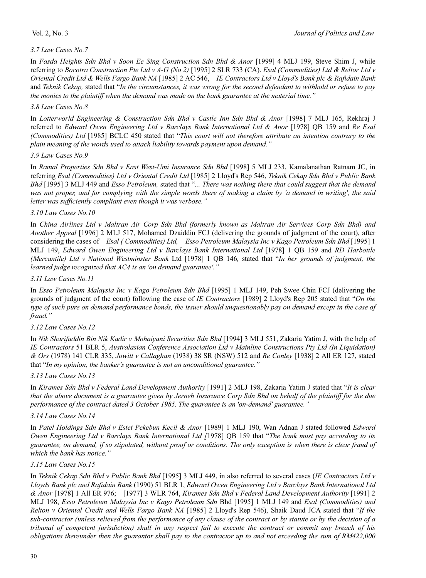# *3.7 Law Cases No.7*

In *Fasda Heights Sdn Bhd v Soon Ee Sing Construction Sdn Bhd & Anor* [1999] 4 MLJ 199, Steve Shim J, while referring to *Bocotra Construction Pte Ltd v A-G (No 2)* [1995] 2 SLR 733 (CA). *Esal (Commodities) Ltd & Reltor Ltd v Oriental Credit Ltd & Wells Fargo Bank NA* [1985] 2 AC 546, *IE Contractors Ltd v Lloyd's Bank plc & Rafidain Bank*  and *Teknik Cekap,* stated that "*In the circumstances, it was wrong for the second defendant to withhold or refuse to pay the monies to the plaintiff when the demand was made on the bank guarantee at the material time."* 

# *3.8 Law Cases No.8*

In *Lotterworld Engineering & Construction Sdn Bhd v Castle Inn Sdn Bhd & Anor* [1998] 7 MLJ 165, Rekhraj J referred to *Edward Owen Engineering Ltd v Barclays Bank International Ltd & Anor* [1978] QB 159 and *Re Esal (Commodities) Ltd* [1985] BCLC 450 stated that "*This court will not therefore attribute an intention contrary to the plain meaning of the words used to attach liability towards payment upon demand."* 

# *3.9 Law Cases No.9*

In *Ramal Properties Sdn Bhd v East West-Umi Insurance Sdn Bhd* [1998] 5 MLJ 233, Kamalanathan Ratnam JC, in referring *Esal (Commodities) Ltd v Oriental Credit Ltd* [1985] 2 Lloyd's Rep 546, *Teknik Cekap Sdn Bhd v Public Bank Bhd* [1995] 3 MLJ 449 and *Esso Petroleum,* stated that "*... There was nothing there that could suggest that the demand was not proper, and for complying with the simple words there of making a claim by 'a demand in writing', the said letter was sufficiently compliant even though it was verbose."* 

# *3.10 Law Cases No.10*

In *China Airlines Ltd v Maltran Air Corp Sdn Bhd (formerly known as Maltran Air Services Corp Sdn Bhd) and Another Appeal* [1996] 2 MLJ 517, Mohamed Dzaiddin FCJ (delivering the grounds of judgment of the court), after considering the cases of *Esal ( Commodities) Ltd, Esso Petroleum Malaysia Inc v Kago Petroleum Sdn Bhd* [1995] 1 MLJ 149, *Edward Owen Engineering Ltd v Barclays Bank International Ltd* [1978] 1 QB 159 and *RD Harbottle (Mercantile) Ltd v National Westminster Bank* Ltd [1978] 1 QB 146*,* stated that "*In her grounds of judgment, the learned judge recognized that AC4 is an 'on demand guarantee'."* 

# *3.11 Law Cases No.11*

In *Esso Petroleum Malaysia Inc v Kago Petroleum Sdn Bhd* [1995] 1 MLJ 149, Peh Swee Chin FCJ (delivering the grounds of judgment of the court) following the case of *IE Contractors* [1989] 2 Lloyd's Rep 205 stated that "*On the type of such pure on demand performance bonds, the issuer should unquestionably pay on demand except in the case of fraud."* 

# *3.12 Law Cases No.12*

In *Nik Sharifuddin Bin Nik Kadir v Mohaiyani Securities Sdn Bhd* [1994] 3 MLJ 551, Zakaria Yatim J, with the help of *IE Contractors* 51 BLR 5, *Australasian Conference Association Ltd v Mainline Constructions Pty Ltd (In Liquidation) & Ors* (1978) 141 CLR 335, *Jowitt v Callaghan* (1938) 38 SR (NSW) 512 and *Re Conley* [1938] 2 All ER 127, stated that "*In my opinion, the banker's guarantee is not an unconditional guarantee."* 

# *3.13 Law Cases No.13*

In *Kirames Sdn Bhd v Federal Land Development Authority* [1991] 2 MLJ 198, Zakaria Yatim J stated that "*It is clear that the above document is a guarantee given by Jerneh Insurance Corp Sdn Bhd on behalf of the plaintiff for the due performance of the contract dated 3 October 1985. The guarantee is an 'on-demand' guarantee."* 

# *3.14 Law Cases No.14*

In *Patel Holdings Sdn Bhd v Estet Pekebun Kecil & Anor* [1989] 1 MLJ 190, Wan Adnan J stated followed *Edward Owen Engineering Ltd v Barclays Bank International Ltd [*1978] QB 159 that "*The bank must pay according to its guarantee, on demand, if so stipulated, without proof or conditions. The only exception is when there is clear fraud of which the bank has notice."* 

# *3.15 Law Cases No.15*

In *Teknik Cekap Sdn Bhd v Public Bank Bhd* [1995] 3 MLJ 449, in also referred to several cases (*IE Contractors Ltd v Lloyds Bank plc and Rafidain Bank* (1990) 51 BLR 1, *Edward Owen Engineering Ltd v Barclays Bank International Ltd & Anor* [1978] 1 All ER 976; [1977] 3 WLR 764, *Kirames Sdn Bhd v Federal Land Development Authority* [1991] 2 MLJ 198, *Esso Petroleum Malaysia Inc v Kago Petroleum Sdn* Bhd [1995] 1 MLJ 149 and *Esal (Commodities) and Relton v Oriental Credit and Wells Fargo Bank NA* [1985] 2 Lloyd's Rep 546), Shaik Daud JCA stated that "*If the sub-contractor (unless relieved from the performance of any clause of the contract or by statute or by the decision of a tribunal of competent jurisdiction) shall in any respect fail to execute the contract or commit any breach of his obligations thereunder then the guarantor shall pay to the contractor up to and not exceeding the sum of RM422,000*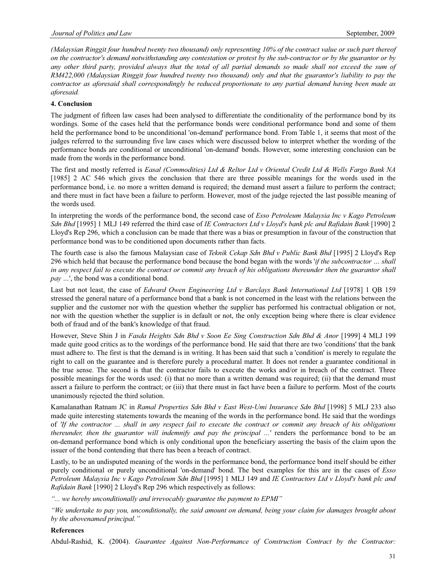*(Malaysian Ringgit four hundred twenty two thousand) only representing 10% of the contract value or such part thereof on the contractor's demand notwithstanding any contestation or protest by the sub-contractor or by the guarantor or by*  any other third party, provided always that the total of all partial demands so made shall not exceed the sum of *RM422,000 (Malaysian Ringgit four hundred twenty two thousand) only and that the guarantor's liability to pay the contractor as aforesaid shall correspondingly be reduced proportionate to any partial demand having been made as aforesaid.* 

# **4. Conclusion**

The judgment of fifteen law cases had been analysed to differentiate the conditionality of the performance bond by its wordings. Some of the cases held that the performance bonds were conditional performance bond and some of them held the performance bond to be unconditional 'on-demand' performance bond. From Table 1, it seems that most of the judges referred to the surrounding five law cases which were discussed below to interpret whether the wording of the performance bonds are conditional or unconditional 'on-demand' bonds. However, some interesting conclusion can be made from the words in the performance bond.

The first and mostly referred is *Easal (Commodities) Ltd & Reltor Ltd v Oriental Credit Ltd & Wells Fargo Bank NA*  [1985] 2 AC 546 which gives the conclusion that there are three possible meanings for the words used in the performance bond, i.e. no more a written demand is required; the demand must assert a failure to perform the contract; and there must in fact have been a failure to perform. However, most of the judge rejected the last possible meaning of the words used.

In interpreting the words of the performance bond, the second case of *Esso Petroleum Malaysia Inc v Kago Petroleum Sdn Bhd* [1995] 1 MLJ 149 referred the third case of *IE Contractors Ltd v Lloyd's bank plc and Rafidain Bank* [1990] 2 Lloyd's Rep 296, which a conclusion can be made that there was a bias or presumption in favour of the construction that performance bond was to be conditioned upon documents rather than facts.

The fourth case is also the famous Malaysian case of *Teknik Cekap Sdn Bhd v Public Bank Bhd* [1995] 2 Lloyd's Rep 296 which held that because the performance bond because the bond began with the words '*if the subcontractor … shall in any respect fail to execute the contract or commit any breach of his obligations thereunder then the guarantor shall*  pay ...', the bond was a conditional bond.

Last but not least, the case of *Edward Owen Engineering Ltd v Barclays Bank International Ltd* [1978] 1 QB 159 stressed the general nature of a performance bond that a bank is not concerned in the least with the relations between the supplier and the customer nor with the question whether the supplier has performed his contractual obligation or not, nor with the question whether the supplier is in default or not, the only exception being where there is clear evidence both of fraud and of the bank's knowledge of that fraud.

However, Steve Shin J in *Fasda Heights Sdn Bhd v Soon Ee Sing Construction Sdn Bhd & Anor* [1999] 4 MLJ 199 made quite good critics as to the wordings of the performance bond. He said that there are two 'conditions' that the bank must adhere to. The first is that the demand is in writing. It has been said that such a 'condition' is merely to regulate the right to call on the guarantee and is therefore purely a procedural matter. It does not render a guarantee conditional in the true sense. The second is that the contractor fails to execute the works and/or in breach of the contract. Three possible meanings for the words used: (i) that no more than a written demand was required; (ii) that the demand must assert a failure to perform the contract; or (iii) that there must in fact have been a failure to perform. Most of the courts unanimously rejected the third solution.

Kamalanathan Ratnam JC in *Ramal Properties Sdn Bhd v East West-Umi Insurance Sdn Bhd* [1998] 5 MLJ 233 also made quite interesting statements towards the meaning of the words in the performance bond. He said that the wordings of *'If the contractor ... shall in any respect fail to execute the contract or commit any breach of his obligations thereunder, then the guarantor will indemnify and pay the principal ...'* renders the performance bond to be an on-demand performance bond which is only conditional upon the beneficiary asserting the basis of the claim upon the issuer of the bond contending that there has been a breach of contract.

Lastly, to be an undisputed meaning of the words in the performance bond, the performance bond itself should be either purely conditional or purely unconditional 'on-demand' bond. The best examples for this are in the cases of *Esso Petroleum Malaysia Inc v Kago Petroleum Sdn Bhd* [1995] 1 MLJ 149 and *IE Contractors Ltd v Lloyd's bank plc and Rafidain Bank* [1990] 2 Lloyd's Rep 296 which respectively as follows:

*"... we hereby unconditionally and irrevocably guarantee the payment to EPMI"* 

*"We undertake to pay you, unconditionally, the said amount on demand, being your claim for damages brought about by the abovenamed principal."* 

## **References**

Abdul-Rashid, K. (2004). *Guarantee Against Non-Performance of Construction Contract by the Contractor:*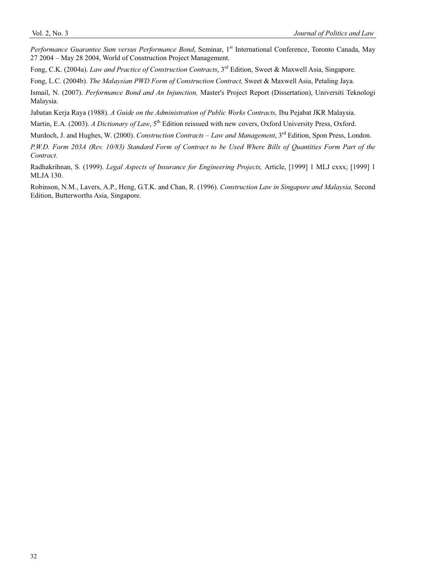*Performance Guarantee Sum versus Performance Bond*, Seminar, 1<sup>st</sup> International Conference, Toronto Canada, May 27 2004 – May 28 2004, World of Construction Project Management.

Fong, C.K. (2004a). *Law and Practice of Construction Contracts*, 3rd Edition, Sweet & Maxwell Asia, Singapore.

Fong, L.C. (2004b). *The Malaysian PWD Form of Construction Contract,* Sweet & Maxwell Asia, Petaling Jaya.

Ismail, N. (2007). *Performance Bond and An Injunction,* Master's Project Report (Dissertation), Universiti Teknologi Malaysia.

Jabatan Kerja Raya (1988). *A Guide on the Administration of Public Works Contracts,* Ibu Pejabat JKR Malaysia.

Martin, E.A. (2003). *A Dictionary of Law*, 5<sup>th</sup> Edition reissued with new covers, Oxford University Press, Oxford.

Murdoch, J. and Hughes, W. (2000). *Construction Contracts – Law and Management*, 3<sup>rd</sup> Edition, Spon Press, London.

*P.W.D. Form 203A (Rev. 10/83) Standard Form of Contract to be Used Where Bills of Quantities Form Part of the Contract.*

Radhakrihnan, S. (1999). *Legal Aspects of Insurance for Engineering Projects,* Article, [1999] 1 MLJ cxxx; [1999] 1 MLJA 130.

Robinson, N.M., Lavers, A.P., Heng, G.T.K. and Chan, R. (1996). *Construction Law in Singapore and Malaysia,* Second Edition, Butterworths Asia, Singapore.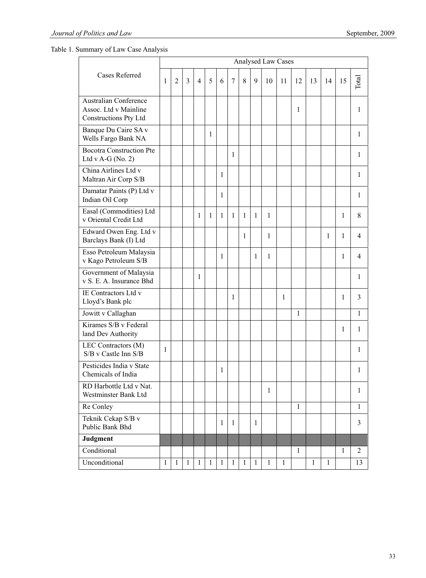Table 1. Summary of Law Case Analysis

| Cases Referred                                                                 |              |                |              |                          |              |              |                |              |              | Analysed Law Cases |              |              |    |              |              |                |
|--------------------------------------------------------------------------------|--------------|----------------|--------------|--------------------------|--------------|--------------|----------------|--------------|--------------|--------------------|--------------|--------------|----|--------------|--------------|----------------|
|                                                                                | 1            | $\overline{2}$ | 3            | $\overline{\mathcal{L}}$ | 5            | 6            | $\overline{7}$ | 8            | $\mathbf Q$  | 10                 | 11           | 12           | 13 | 14           | 15           | Total          |
| <b>Australian Conference</b><br>Assoc. Ltd v Mainline<br>Constructions Pty Ltd |              |                |              |                          |              |              |                |              |              |                    |              | 1            |    |              |              | 1              |
| Banque Du Caire SA v<br>Wells Fargo Bank NA                                    |              |                |              |                          | 1            |              |                |              |              |                    |              |              |    |              |              | 1              |
| <b>Bocotra Construction Pte</b><br>Ltd v A-G (No. 2)                           |              |                |              |                          |              |              | 1              |              |              |                    |              |              |    |              |              | 1              |
| China Airlines Ltd v<br>Maltran Air Corp S/B                                   |              |                |              |                          |              | 1            |                |              |              |                    |              |              |    |              |              | 1              |
| Damatar Paints (P) Ltd v<br>Indian Oil Corp                                    |              |                |              |                          |              | 1            |                |              |              |                    |              |              |    |              |              | 1              |
| Easal (Commodities) Ltd<br>v Oriental Credit Ltd                               |              |                |              | 1                        | 1            | 1            | 1              | 1            | 1            | 1                  |              |              |    |              | 1            | 8              |
| Edward Owen Eng. Ltd v<br>Barclays Bank (I) Ltd                                |              |                |              |                          |              |              |                | 1            |              | 1                  |              |              |    | 1            | 1            | $\overline{4}$ |
| Esso Petroleum Malaysia<br>v Kago Petroleum S/B                                |              |                |              |                          |              | 1            |                |              | 1            | 1                  |              |              |    |              | 1            | 4              |
| Government of Malaysia<br>v S. E. A. Insurance Bhd                             |              |                |              | 1                        |              |              |                |              |              |                    |              |              |    |              |              | 1              |
| IE Contractors Ltd v<br>Lloyd's Bank plc                                       |              |                |              |                          |              |              | 1              |              |              |                    | 1            |              |    |              | 1            | 3              |
| Jowitt v Callaghan                                                             |              |                |              |                          |              |              |                |              |              |                    |              | 1            |    |              |              | 1              |
| Kirames S/B v Federal<br>land Dev Authority                                    |              |                |              |                          |              |              |                |              |              |                    |              |              |    |              | 1            | 1              |
| LEC Contractors (M)<br>S/B v Castle Inn S/B                                    | 1            |                |              |                          |              |              |                |              |              |                    |              |              |    |              |              | 1              |
| Pesticides India v State<br>Chemicals of India                                 |              |                |              |                          |              | 1            |                |              |              |                    |              |              |    |              |              | 1              |
| RD Harbottle Ltd v Nat.<br>Westminster Bank Ltd                                |              |                |              |                          |              |              |                |              |              | 1                  |              |              |    |              |              | 1              |
| Re Conley                                                                      |              |                |              |                          |              |              |                |              |              |                    |              | $\mathbf{1}$ |    |              |              | $\mathbf{1}$   |
| Teknik Cekap S/B v<br>Public Bank Bhd                                          |              |                |              |                          |              | 1            | $\mathbf{1}$   |              | 1            |                    |              |              |    |              |              | 3              |
| Judgment                                                                       |              |                |              |                          |              |              |                |              |              |                    |              |              |    |              |              |                |
| Conditional                                                                    |              |                |              |                          |              |              |                |              |              |                    |              | 1            |    |              | $\mathbf{1}$ | 2              |
| Unconditional                                                                  | $\mathbf{1}$ | $\mathbf{1}$   | $\mathbf{1}$ | $\mathbf{1}$             | $\mathbf{1}$ | $\mathbf{1}$ | $\mathbf{1}$   | $\mathbf{1}$ | $\mathbf{1}$ | $\mathbf{1}$       | $\mathbf{1}$ |              | 1  | $\mathbf{1}$ |              | 13             |